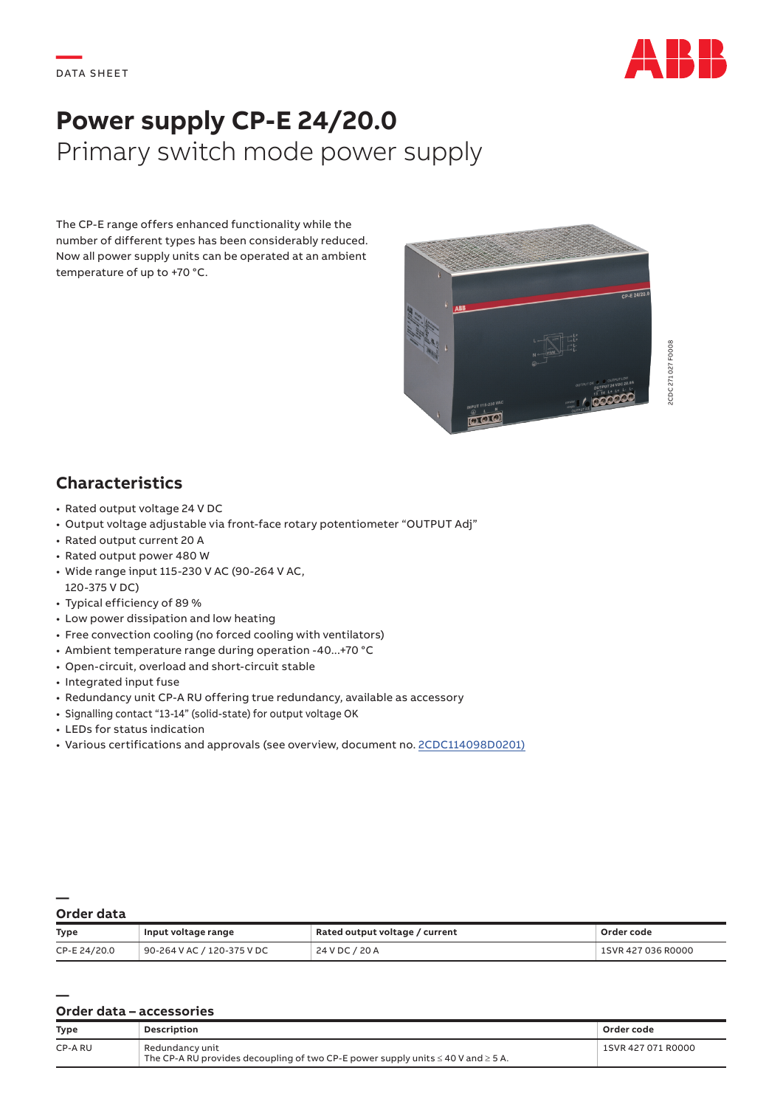

# **Power supply CP-E 24/20.0** Primary switch mode power supply

The CP-E range offers enhanced functionality while the number of different types has been considerably reduced. Now all power supply units can be operated at an ambient temperature of up to +70 °C.



## **Characteristics**

- Rated output voltage 24 V DC
- Output voltage adjustable via front-face rotary potentiometer "OUTPUT Adj"
- Rated output current 20 A
- Rated output power 480 W
- Wide range input 115-230 V AC (90-264 V AC, 120-375 V DC)
- Typical efficiency of 89 %
- Low power dissipation and low heating
- Free convection cooling (no forced cooling with ventilators)
- Ambient temperature range during operation -40...+70 °C
- Open-circuit, overload and short-circuit stable
- Integrated input fuse
- Redundancy unit CP-A RU offering true redundancy, available as accessory
- Signalling contact "13-14" (solid-state) for output voltage OK
- LEDs for status indication
- Various certifications and approvals (see overview, document no. [2CDC114098D0201\)](https://library.e.abb.com/public/41e85c1a589c4f4db210dc7e84e0c1aa/2CDC114098D0201.pdf)

#### **— Order data**

| <b>Type</b>  | Input voltage range        | Rated output voltage / current | Order code         |
|--------------|----------------------------|--------------------------------|--------------------|
| CP-E 24/20.0 | 90-264 V AC / 120-375 V DC | 24 V DC / 20 A                 | 1SVR 427 036 R0000 |

#### **— Order data – accessories**

| <b>Type</b> | Description                                                                                                   | Order code         |
|-------------|---------------------------------------------------------------------------------------------------------------|--------------------|
| CP-A RU     | Redundancy unit<br>The CP-A RU provides decoupling of two CP-E power supply units $\leq 40$ V and $\geq 5$ A. | 1SVR 427 071 R0000 |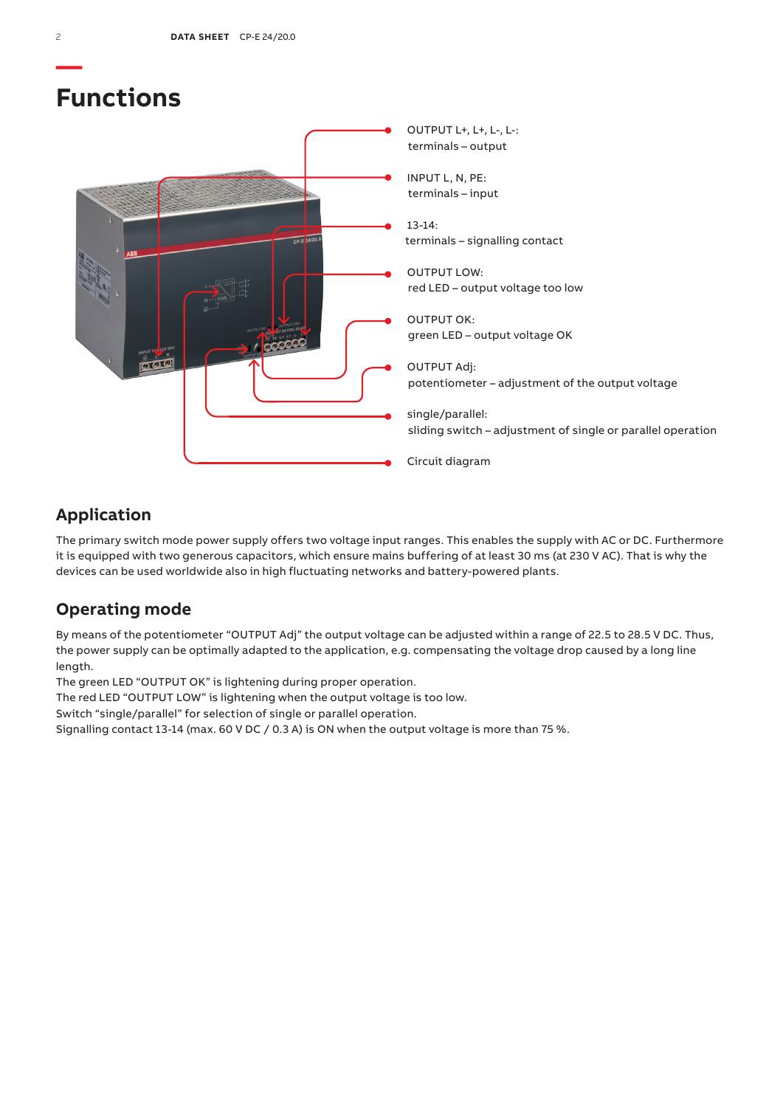

## **Application**

The primary switch mode power supply offers two voltage input ranges. This enables the supply with AC or DC. Furthermore it is equipped with two generous capacitors, which ensure mains buffering of at least 30 ms (at 230 V AC). That is why the devices can be used worldwide also in high fluctuating networks and battery-powered plants.

## **Operating mode**

By means of the potentiometer "OUTPUT Adj" the output voltage can be adjusted within a range of 22.5 to 28.5 V DC. Thus, the power supply can be optimally adapted to the application, e.g. compensating the voltage drop caused by a long line length.

The green LED "OUTPUT OK" is lightening during proper operation.

The red LED "OUTPUT LOW" is lightening when the output voltage is too low.

Switch "single/parallel" for selection of single or parallel operation.

Signalling contact 13-14 (max. 60 V DC / 0.3 A) is ON when the output voltage is more than 75 %.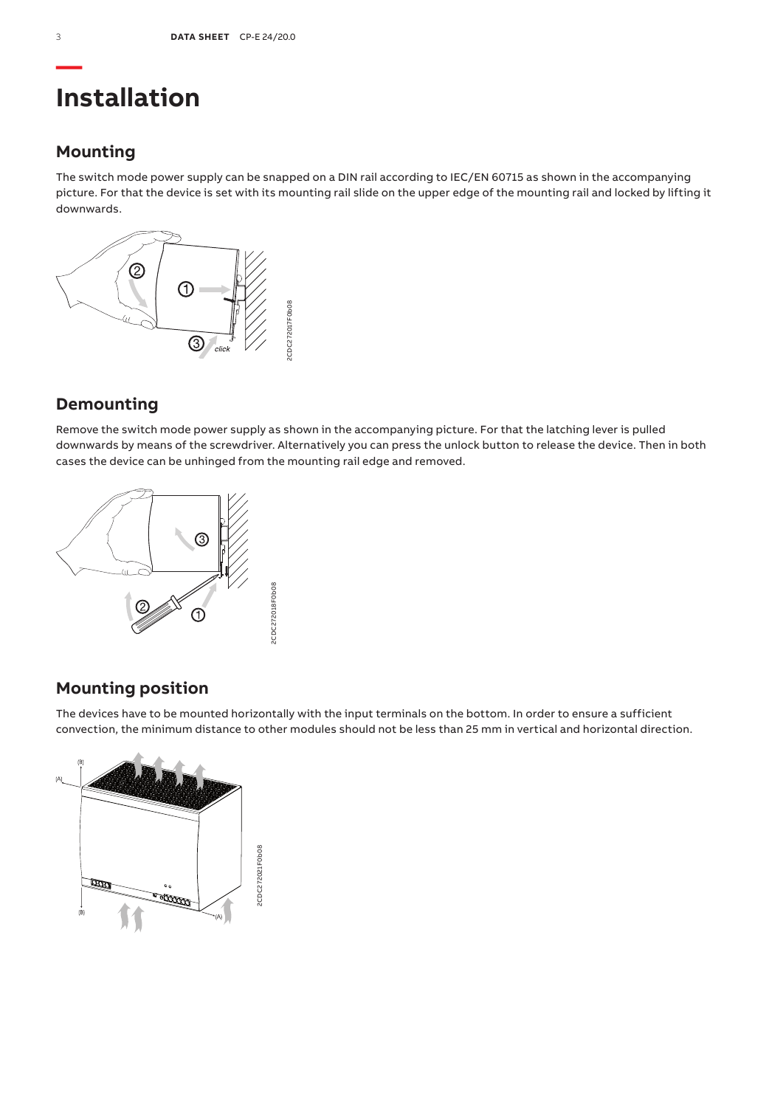# **Installation**

## **Mounting**

The switch mode power supply can be snapped on a DIN rail according to IEC/EN 60715 as shown in the accompanying picture. For that the device is set with its mounting rail slide on the upper edge of the mounting rail and locked by lifting it downwards.



## **Demounting**

Remove the switch mode power supply as shown in the accompanying picture. For that the latching lever is pulled downwards by means of the screwdriver. Alternatively you can press the unlock button to release the device. Then in both cases the device can be unhinged from the mounting rail edge and removed.



## **Mounting position**

The devices have to be mounted horizontally with the input terminals on the bottom. In order to ensure a sufficient convection, the minimum distance to other modules should not be less than 25 mm in vertical and horizontal direction.

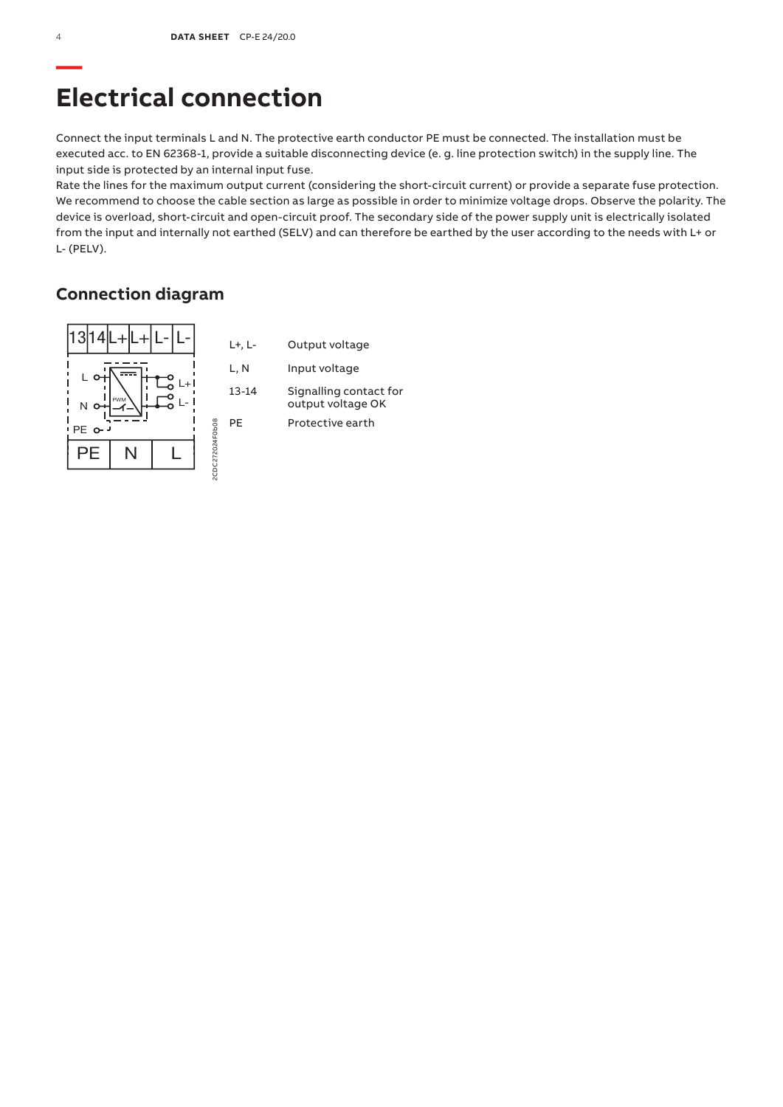# **Electrical connection**

Connect the input terminals L and N. The protective earth conductor PE must be connected. The installation must be executed acc. to EN 62368-1, provide a suitable disconnecting device (e. g. line protection switch) in the supply line. The input side is protected by an internal input fuse.

Rate the lines for the maximum output current (considering the short-circuit current) or provide a separate fuse protection. We recommend to choose the cable section as large as possible in order to minimize voltage drops. Observe the polarity. The device is overload, short-circuit and open-circuit proof. The secondary side of the power supply unit is electrically isolated from the input and internally not earthed (SELV) and can therefore be earthed by the user according to the needs with L+ or L- (PELV).

## **Connection diagram**

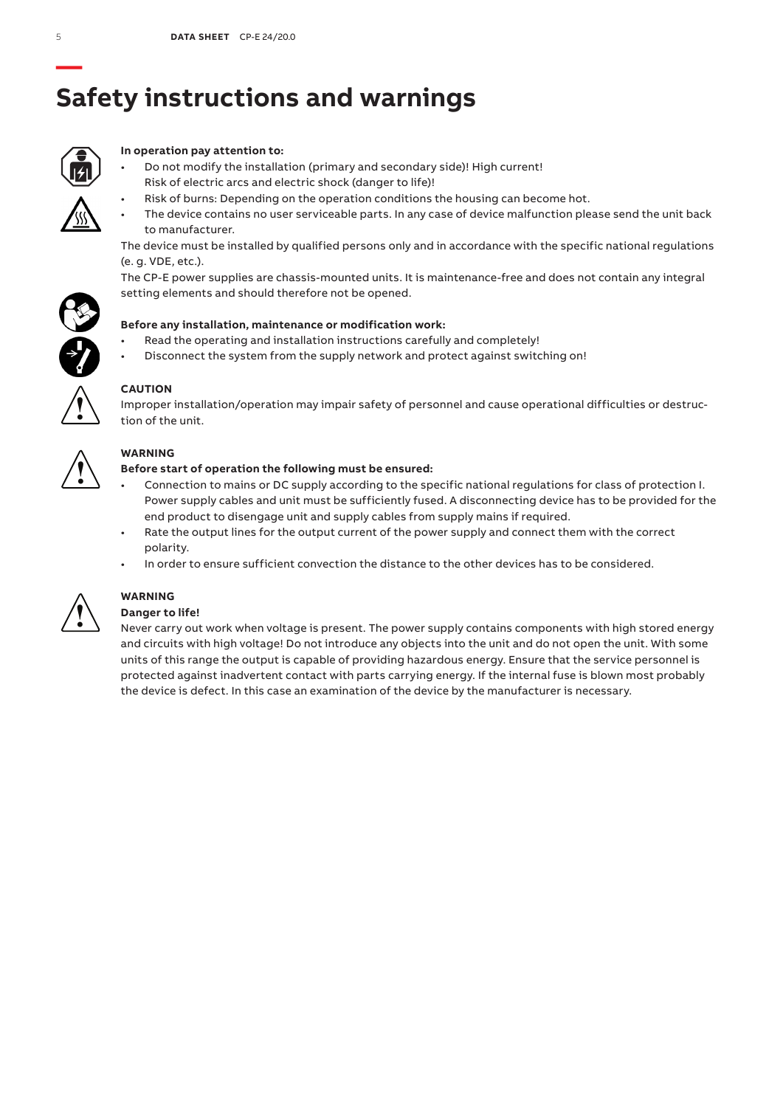# **— Safety instructions and warnings**



### **In operation pay attention to:**

- Do not modify the installation (primary and secondary side)! High current! Risk of electric arcs and electric shock (danger to life)!
	- Risk of burns: Depending on the operation conditions the housing can become hot.
- The device contains no user serviceable parts. In any case of device malfunction please send the unit back to manufacturer.

The device must be installed by qualified persons only and in accordance with the specific national regulations (e. g. VDE, etc.).

The CP-E power supplies are chassis-mounted units. It is maintenance-free and does not contain any integral setting elements and should therefore not be opened.



- Read the operating and installation instructions carefully and completely!
- Disconnect the system from the supply network and protect against switching on!



### **CAUTION**

Improper installation/operation may impair safety of personnel and cause operational difficulties or destruction of the unit.



### **WARNING**

### **Before start of operation the following must be ensured:**

- Connection to mains or DC supply according to the specific national regulations for class of protection I. Power supply cables and unit must be sufficiently fused. A disconnecting device has to be provided for the end product to disengage unit and supply cables from supply mains if required.
- Rate the output lines for the output current of the power supply and connect them with the correct polarity.
- In order to ensure sufficient convection the distance to the other devices has to be considered.



## **WARNING**

### **Danger to life!**

Never carry out work when voltage is present. The power supply contains components with high stored energy and circuits with high voltage! Do not introduce any objects into the unit and do not open the unit. With some units of this range the output is capable of providing hazardous energy. Ensure that the service personnel is protected against inadvertent contact with parts carrying energy. If the internal fuse is blown most probably the device is defect. In this case an examination of the device by the manufacturer is necessary.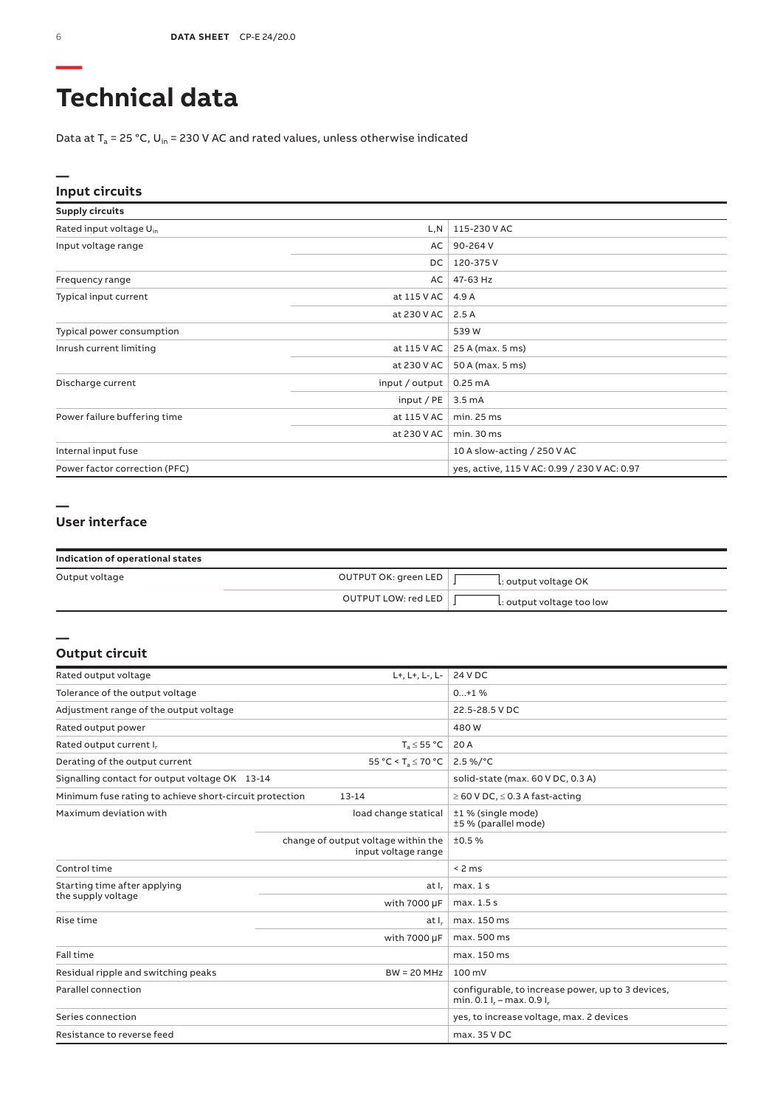# **Technical data**

Data at  $T_a$  = 25 °C, U<sub>in</sub> = 230 V AC and rated values, unless otherwise indicated

### **Input circuits**

| <b>Supply circuits</b>              |                |                                              |
|-------------------------------------|----------------|----------------------------------------------|
| Rated input voltage U <sub>in</sub> | L, N           | 115-230 V AC                                 |
| Input voltage range                 | AC             | 90-264 V                                     |
|                                     | DC             | 120-375V                                     |
| Frequency range                     | AC             | 47-63 Hz                                     |
| Typical input current               | at 115 V AC    | 4.9 A                                        |
|                                     | at 230 V AC    | 2.5A                                         |
| Typical power consumption           |                | 539 W                                        |
| Inrush current limiting             | at 115 V AC    | 25 A (max. 5 ms)                             |
|                                     | at 230 V AC    | 50 A (max. 5 ms)                             |
| Discharge current                   | input / output | 0.25mA                                       |
|                                     | input / $PE$   | 3.5 <sub>m</sub> A                           |
| Power failure buffering time        | at 115 V AC    | min. 25 ms                                   |
|                                     | at 230 V AC    | min. 30 ms                                   |
| Internal input fuse                 |                | 10 A slow-acting / 250 V AC                  |
| Power factor correction (PFC)       |                | yes, active, 115 V AC: 0.99 / 230 V AC: 0.97 |

#### **—**

**—**

### **User interface**

| Indication of operational states |                      |                           |
|----------------------------------|----------------------|---------------------------|
| Output voltage                   | OUTPUT OK: green LED | L: output voltage OK      |
|                                  | OUTPUT LOW: red LED  | L: output voltage too low |

#### **Output circuit**

| Rated output voltage                                    | L+, L+, L-, L-                                             | 24 V DC                                                                               |
|---------------------------------------------------------|------------------------------------------------------------|---------------------------------------------------------------------------------------|
| Tolerance of the output voltage                         |                                                            | $0+1$ %                                                                               |
| Adjustment range of the output voltage                  |                                                            | 22.5-28.5 V DC                                                                        |
| Rated output power                                      |                                                            | 480W                                                                                  |
| Rated output current I,                                 | $T_s \leq 55 °C$                                           | 20 A                                                                                  |
| Derating of the output current                          | 55 °C < T <sub>3</sub> $\leq$ 70 °C                        | $2.5\%$ /°C                                                                           |
| Signalling contact for output voltage OK 13-14          |                                                            | solid-state (max. 60 V DC, 0.3 A)                                                     |
| Minimum fuse rating to achieve short-circuit protection | $13 - 14$                                                  | $\geq$ 60 V DC, $\leq$ 0.3 A fast-acting                                              |
| Maximum deviation with                                  | load change statical                                       | ±1 % (single mode)<br>±5 % (parallel mode)                                            |
|                                                         | change of output voltage within the<br>input voltage range | ±0.5%                                                                                 |
| Control time                                            |                                                            | < 2 ms                                                                                |
| Starting time after applying                            | at I.                                                      | max.1s                                                                                |
| the supply voltage                                      | with 7000 µF                                               | max. 1.5 s                                                                            |
| Rise time                                               | at I.                                                      | max. 150 ms                                                                           |
|                                                         | with 7000 µF                                               | max. 500 ms                                                                           |
| Fall time                                               |                                                            | max. 150 ms                                                                           |
| $BW = 20 MHz$<br>Residual ripple and switching peaks    |                                                            | $100 \text{ mV}$                                                                      |
| Parallel connection                                     |                                                            | configurable, to increase power, up to 3 devices,<br>min. $0.1 I_r - max$ . $0.9 I_r$ |
| Series connection                                       |                                                            | yes, to increase voltage, max. 2 devices                                              |
| Resistance to reverse feed                              |                                                            | max. 35 V DC                                                                          |

**—**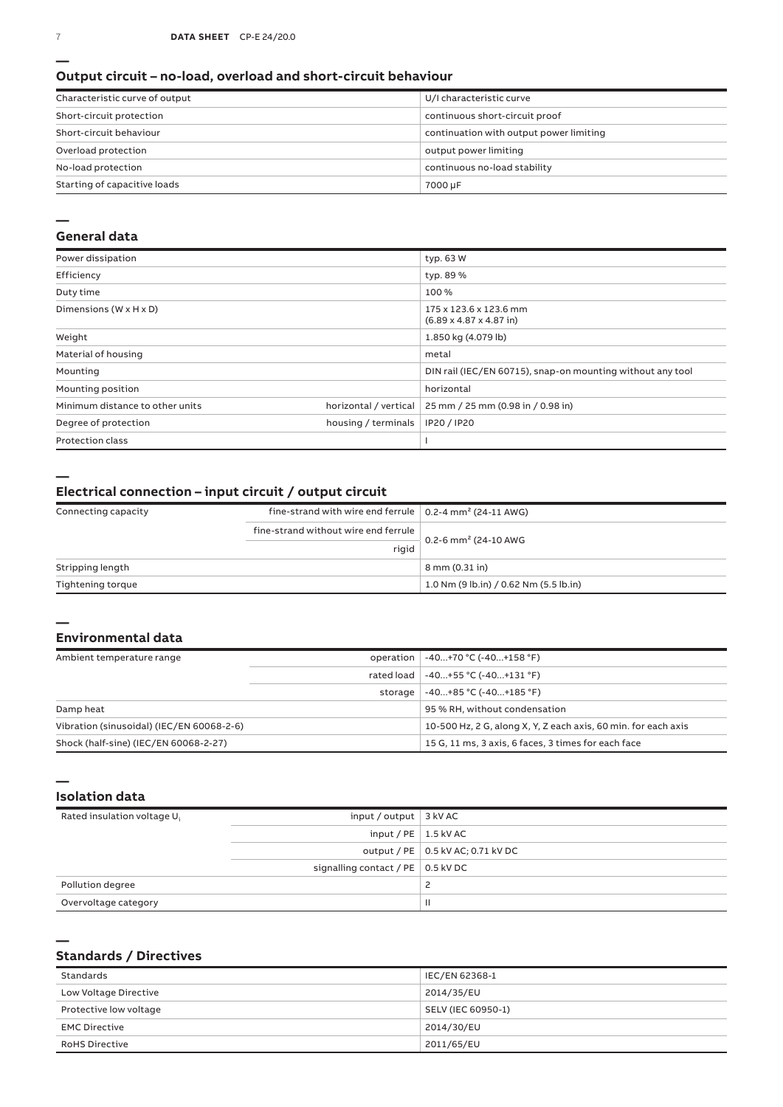#### **Output circuit – no-load, overload and short-circuit behaviour**

| Characteristic curve of output | U/I characteristic curve                |
|--------------------------------|-----------------------------------------|
| Short-circuit protection       | continuous short-circuit proof          |
| Short-circuit behaviour        | continuation with output power limiting |
| Overload protection            | output power limiting                   |
| No-load protection             | continuous no-load stability            |
| Starting of capacitive loads   | 7000 µF                                 |

#### **—**

#### **General data**

| Power dissipation                    |                       | typ. 63 W                                                             |
|--------------------------------------|-----------------------|-----------------------------------------------------------------------|
| Efficiency                           |                       | typ. 89 %                                                             |
| Duty time                            |                       | 100 %                                                                 |
| Dimensions ( $W \times H \times D$ ) |                       | 175 x 123.6 x 123.6 mm<br>$(6.89 \times 4.87 \times 4.87 \text{ in})$ |
| Weight                               |                       | 1.850 kg (4.079 lb)                                                   |
| Material of housing                  |                       | metal                                                                 |
| Mounting                             |                       | DIN rail (IEC/EN 60715), snap-on mounting without any tool            |
| Mounting position                    |                       | horizontal                                                            |
| Minimum distance to other units      | horizontal / vertical | 25 mm / 25 mm (0.98 in / 0.98 in)                                     |
| Degree of protection                 | housing / terminals   | IP20 / IP20                                                           |
| <b>Protection class</b>              |                       |                                                                       |

**—**

### **Electrical connection – input circuit / output circuit**

| Connecting capacity | fine-strand with wire end ferrule $\vert$ 0.2-4 mm <sup>2</sup> (24-11 AWG) |                                        |
|---------------------|-----------------------------------------------------------------------------|----------------------------------------|
|                     | fine-strand without wire end ferrule                                        |                                        |
|                     | rigid                                                                       | 0.2-6 mm <sup>2</sup> (24-10 AWG       |
| Stripping length    |                                                                             | 8 mm (0.31 in)                         |
| Tightening torque   |                                                                             | 1.0 Nm (9 lb.in) / 0.62 Nm (5.5 lb.in) |

#### **— Environmental data**

| Ambient temperature range                 |         | operation   -40+70 °C (-40+158 °F)                             |
|-------------------------------------------|---------|----------------------------------------------------------------|
|                                           |         | rated load   -40+55 °C (-40+131 °F)                            |
|                                           | storage | $-40+85 °C (-40+185 °F)$                                       |
| Damp heat                                 |         | 95 % RH, without condensation                                  |
| Vibration (sinusoidal) (IEC/EN 60068-2-6) |         | 10-500 Hz, 2 G, along X, Y, Z each axis, 60 min, for each axis |
| Shock (half-sine) (IEC/EN 60068-2-27)     |         | 15 G, 11 ms, 3 axis, 6 faces, 3 times for each face            |

#### **Isolation data**

| Rated insulation voltage U <sub>i</sub> | input / output $\vert$ 3 kV AC            |                                     |
|-----------------------------------------|-------------------------------------------|-------------------------------------|
|                                         | input / $PE$   1.5 kV AC                  |                                     |
|                                         |                                           | output / PE   0.5 kV AC; 0.71 kV DC |
|                                         | signalling contact / PE $\vert$ 0.5 kV DC |                                     |
| Pollution degree                        |                                           |                                     |
| Overvoltage category                    |                                           | $\mathbf{H}$                        |

#### **—**

**—**

### **Standards / Directives**

| Standards              | IEC/EN 62368-1     |
|------------------------|--------------------|
| Low Voltage Directive  | 2014/35/EU         |
| Protective low voltage | SELV (IEC 60950-1) |
| <b>EMC Directive</b>   | 2014/30/EU         |
| <b>RoHS Directive</b>  | 2011/65/EU         |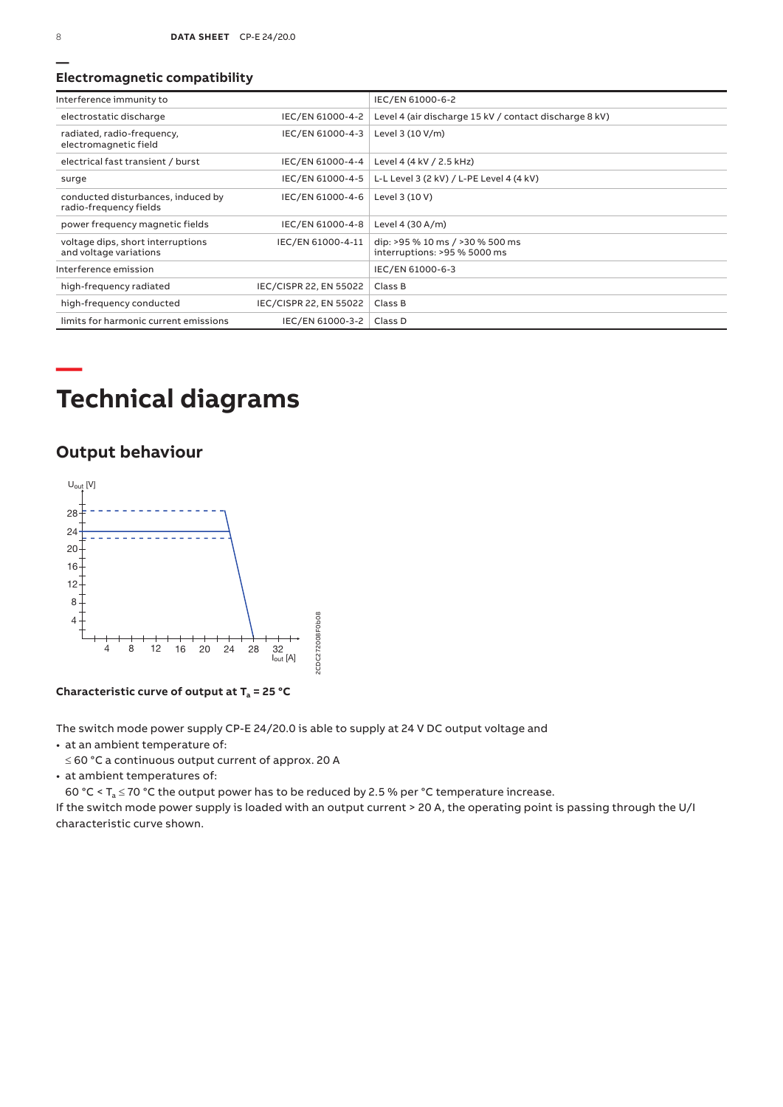#### **Electromagnetic compatibility**

| Interference immunity to                                     |                        | IEC/EN 61000-6-2                                                |
|--------------------------------------------------------------|------------------------|-----------------------------------------------------------------|
| electrostatic discharge                                      | IEC/EN 61000-4-2       | Level 4 (air discharge 15 kV / contact discharge 8 kV)          |
| radiated, radio-frequency,<br>electromagnetic field          | IEC/EN 61000-4-3       | Level 3 (10 V/m)                                                |
| electrical fast transient / burst                            | IEC/EN 61000-4-4       | Level 4 (4 kV / 2.5 kHz)                                        |
| surge                                                        | IEC/EN 61000-4-5       | L-L Level 3 (2 kV) / L-PE Level 4 (4 kV)                        |
| conducted disturbances, induced by<br>radio-frequency fields | IEC/EN 61000-4-6       | Level 3 (10 V)                                                  |
| power frequency magnetic fields                              | IEC/EN 61000-4-8       | Level 4 (30 A/m)                                                |
| voltage dips, short interruptions<br>and voltage variations  | IEC/EN 61000-4-11      | dip: >95 % 10 ms / >30 % 500 ms<br>interruptions: >95 % 5000 ms |
| Interference emission                                        |                        | IEC/EN 61000-6-3                                                |
| high-frequency radiated                                      | IEC/CISPR 22, EN 55022 | Class B                                                         |
| high-frequency conducted                                     | IEC/CISPR 22, EN 55022 | Class B                                                         |
| limits for harmonic current emissions                        | IEC/EN 61000-3-2       | Class D                                                         |

# **Technical diagrams**

## **Output behaviour**



**Characteristic curve of output at Ta = 25 °C**

The switch mode power supply CP‑E 24/20.0 is able to supply at 24 V DC output voltage and

• at an ambient temperature of:

≤ 60 °C a continuous output current of approx. 20 A

• at ambient temperatures of:

60 °C <  $T_a \le 70$  °C the output power has to be reduced by 2.5 % per °C temperature increase.

If the switch mode power supply is loaded with an output current > 20 A, the operating point is passing through the U/I characteristic curve shown.

**—**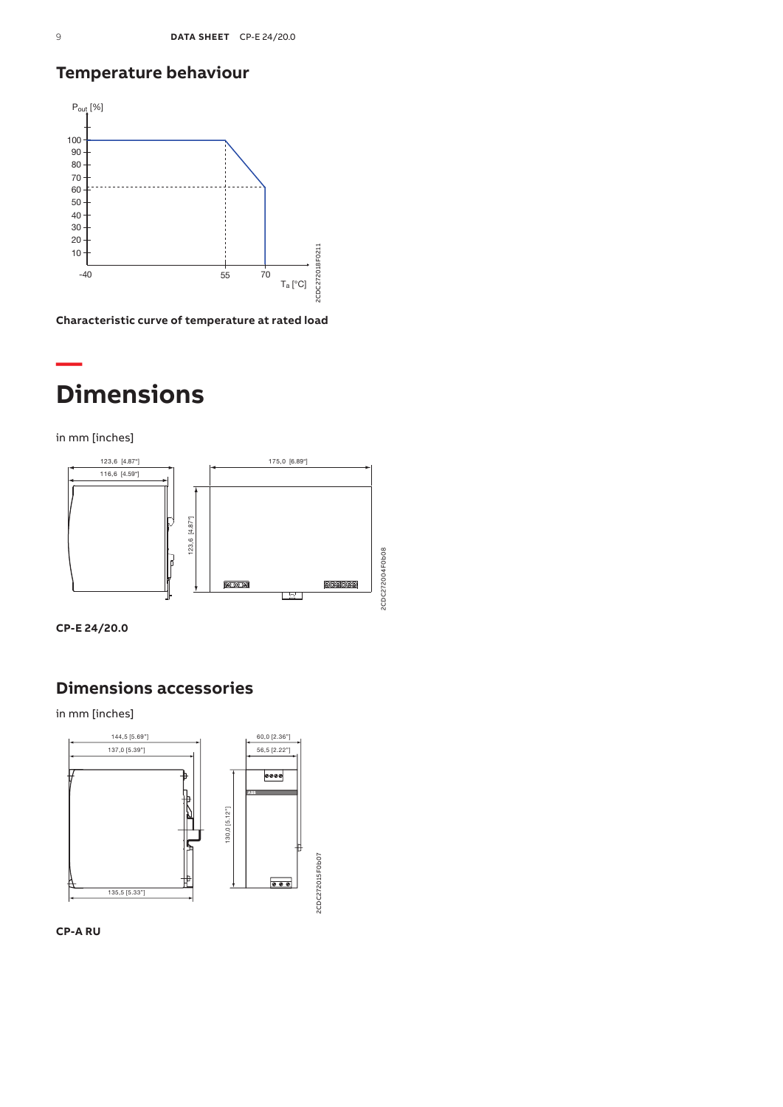## **Temperature behaviour**



**Characteristic curve of temperature at rated load**

# **— Dimensions**

in mm [inches]





## **Dimensions accessories**

in mm [inches]



**CP-A RU**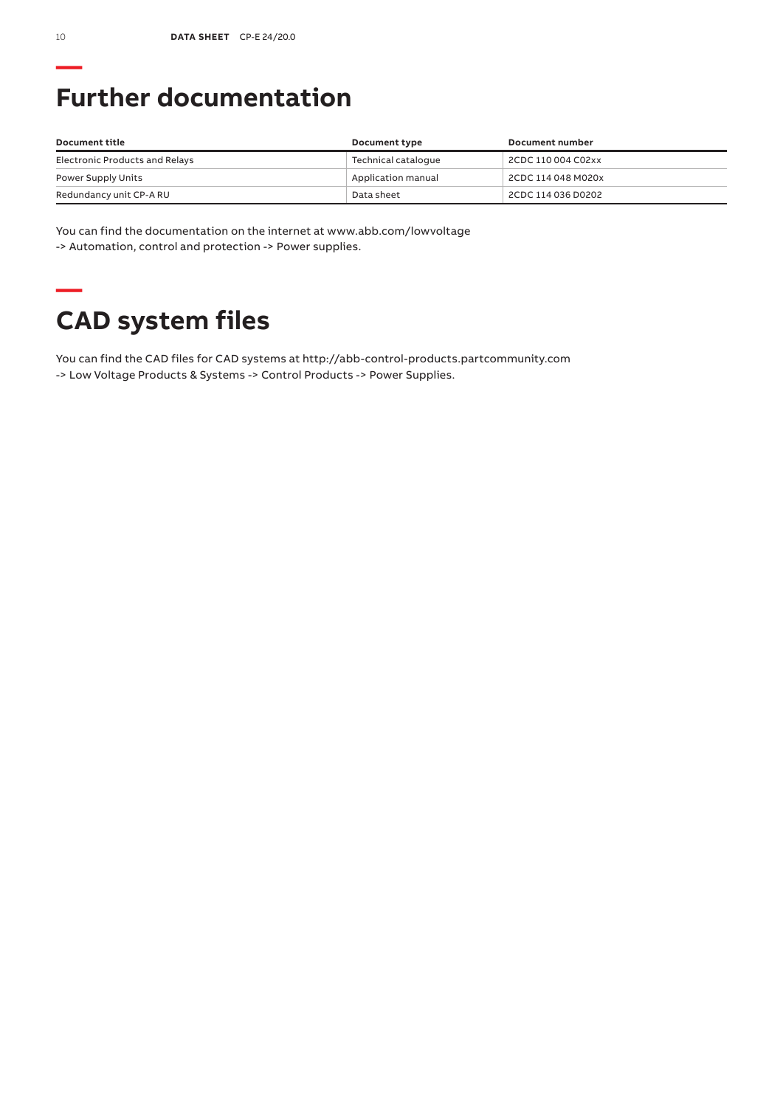# **Further documentation**

| Document title                 | Document type       | Document number    |
|--------------------------------|---------------------|--------------------|
| Electronic Products and Relays | Technical cataloque | 2CDC 110 004 C02xx |
| Power Supply Units             | Application manual  | 2CDC 114 048 M020x |
| Redundancy unit CP-A RU        | Data sheet          | 2CDC 114 036 D0202 |

You can find the documentation on the internet at www.abb.com/lowvoltage -> Automation, control and protection -> Power supplies.

# **— CAD system files**

You can find the CAD files for CAD systems at http://abb-control-products.partcommunity.com -> Low Voltage Products & Systems -> Control Products -> Power Supplies.